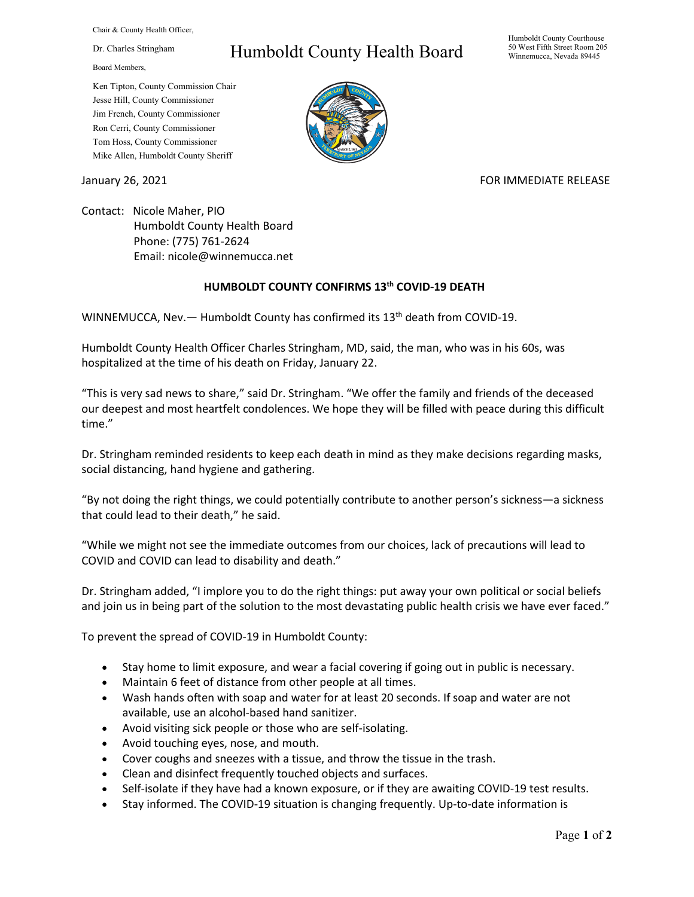Chair & County Health Officer,

Dr. Charles Stringham

Board Members,

Ken Tipton, County Commission Chair Jesse Hill, County Commissioner Jim French, County Commissioner Ron Cerri, County Commissioner Tom Hoss, County Commissioner Mike Allen, Humboldt County Sheriff

## Humboldt County Health Board

Humboldt County Courthouse 50 West Fifth Street Room 205 Winnemucca, Nevada 89445



## January 26, 2021 **FOR IMMEDIATE RELEASE**

Contact: Nicole Maher, PIO Humboldt County Health Board Phone: (775) 761-2624 Email: nicole@winnemucca.net

## **HUMBOLDT COUNTY CONFIRMS 13th COVID-19 DEATH**

WINNEMUCCA, Nev. - Humboldt County has confirmed its 13<sup>th</sup> death from COVID-19.

Humboldt County Health Officer Charles Stringham, MD, said, the man, who was in his 60s, was hospitalized at the time of his death on Friday, January 22.

"This is very sad news to share," said Dr. Stringham. "We offer the family and friends of the deceased our deepest and most heartfelt condolences. We hope they will be filled with peace during this difficult time."

Dr. Stringham reminded residents to keep each death in mind as they make decisions regarding masks, social distancing, hand hygiene and gathering.

"By not doing the right things, we could potentially contribute to another person's sickness—a sickness that could lead to their death," he said.

"While we might not see the immediate outcomes from our choices, lack of precautions will lead to COVID and COVID can lead to disability and death."

Dr. Stringham added, "I implore you to do the right things: put away your own political or social beliefs and join us in being part of the solution to the most devastating public health crisis we have ever faced."

To prevent the spread of COVID-19 in Humboldt County:

- Stay home to limit exposure, and wear a facial covering if going out in public is necessary.
- Maintain 6 feet of distance from other people at all times.
- Wash hands often with soap and water for at least 20 seconds. If soap and water are not available, use an alcohol-based hand sanitizer.
- Avoid visiting sick people or those who are self-isolating.
- Avoid touching eyes, nose, and mouth.
- Cover coughs and sneezes with a tissue, and throw the tissue in the trash.
- Clean and disinfect frequently touched objects and surfaces.
- Self-isolate if they have had a known exposure, or if they are awaiting COVID-19 test results.
- Stay informed. The COVID-19 situation is changing frequently. Up-to-date information is